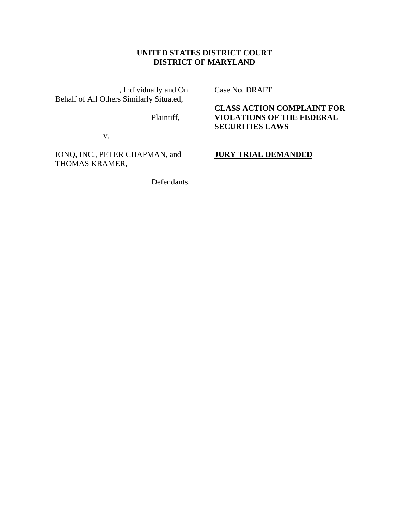# **UNITED STATES DISTRICT COURT DISTRICT OF MARYLAND**

\_\_\_\_\_\_\_\_\_\_\_\_\_\_\_\_, Individually and On Behalf of All Others Similarly Situated,

Plaintiff,

v.

IONQ, INC., PETER CHAPMAN, and THOMAS KRAMER,

Defendants.

Case No. DRAFT

**CLASS ACTION COMPLAINT FOR VIOLATIONS OF THE FEDERAL SECURITIES LAWS**

**JURY TRIAL DEMANDED**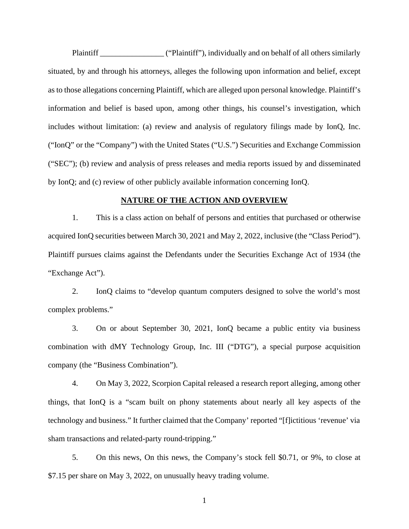Plaintiff \_\_\_\_\_\_\_\_\_\_\_\_\_\_\_\_ ("Plaintiff"), individually and on behalf of all others similarly situated, by and through his attorneys, alleges the following upon information and belief, except as to those allegations concerning Plaintiff, which are alleged upon personal knowledge. Plaintiff's information and belief is based upon, among other things, his counsel's investigation, which includes without limitation: (a) review and analysis of regulatory filings made by IonQ, Inc. ("IonQ" or the "Company") with the United States ("U.S.") Securities and Exchange Commission ("SEC"); (b) review and analysis of press releases and media reports issued by and disseminated by IonQ; and (c) review of other publicly available information concerning IonQ.

### **NATURE OF THE ACTION AND OVERVIEW**

1. This is a class action on behalf of persons and entities that purchased or otherwise acquired IonQ securities between March 30, 2021 and May 2, 2022, inclusive (the "Class Period"). Plaintiff pursues claims against the Defendants under the Securities Exchange Act of 1934 (the "Exchange Act").

2. IonQ claims to "develop quantum computers designed to solve the world's most complex problems."

3. On or about September 30, 2021, IonQ became a public entity via business combination with dMY Technology Group, Inc. III ("DTG"), a special purpose acquisition company (the "Business Combination").

4. On May 3, 2022, Scorpion Capital released a research report alleging, among other things, that IonQ is a "scam built on phony statements about nearly all key aspects of the technology and business." It further claimed that the Company' reported "[f]ictitious 'revenue' via sham transactions and related-party round-tripping."

5. On this news, On this news, the Company's stock fell \$0.71, or 9%, to close at \$7.15 per share on May 3, 2022, on unusually heavy trading volume.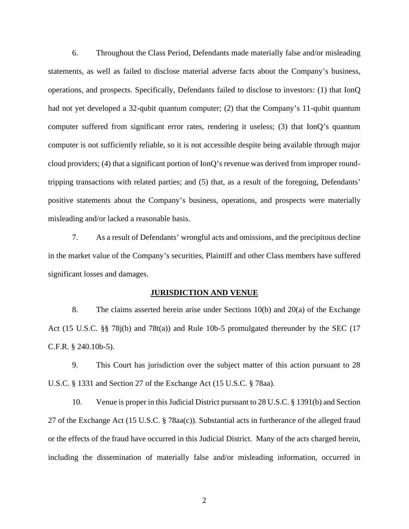6. Throughout the Class Period, Defendants made materially false and/or misleading statements, as well as failed to disclose material adverse facts about the Company's business, operations, and prospects. Specifically, Defendants failed to disclose to investors: (1) that IonQ had not yet developed a 32-qubit quantum computer; (2) that the Company's 11-qubit quantum computer suffered from significant error rates, rendering it useless; (3) that IonQ's quantum computer is not sufficiently reliable, so it is not accessible despite being available through major cloud providers; (4) that a significant portion of  $\text{IonQ's revenue}$  was derived from improper roundtripping transactions with related parties; and (5) that, as a result of the foregoing, Defendants' positive statements about the Company's business, operations, and prospects were materially misleading and/or lacked a reasonable basis.

7. As a result of Defendants' wrongful acts and omissions, and the precipitous decline in the market value of the Company's securities, Plaintiff and other Class members have suffered significant losses and damages.

#### **JURISDICTION AND VENUE**

8. The claims asserted herein arise under Sections 10(b) and 20(a) of the Exchange Act (15 U.S.C. §§ 78j(b) and 78t(a)) and Rule 10b-5 promulgated thereunder by the SEC (17 C.F.R. § 240.10b-5).

9. This Court has jurisdiction over the subject matter of this action pursuant to 28 U.S.C. § 1331 and Section 27 of the Exchange Act (15 U.S.C. § 78aa).

10. Venue is proper in this Judicial District pursuant to 28 U.S.C. § 1391(b) and Section 27 of the Exchange Act (15 U.S.C. § 78aa(c)). Substantial acts in furtherance of the alleged fraud or the effects of the fraud have occurred in this Judicial District. Many of the acts charged herein, including the dissemination of materially false and/or misleading information, occurred in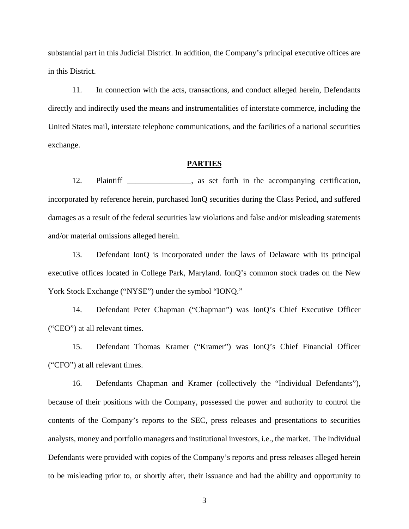substantial part in this Judicial District. In addition, the Company's principal executive offices are in this District.

11. In connection with the acts, transactions, and conduct alleged herein, Defendants directly and indirectly used the means and instrumentalities of interstate commerce, including the United States mail, interstate telephone communications, and the facilities of a national securities exchange.

#### **PARTIES**

12. Plaintiff \_\_\_\_\_\_\_\_\_\_\_, as set forth in the accompanying certification, incorporated by reference herein, purchased IonQ securities during the Class Period, and suffered damages as a result of the federal securities law violations and false and/or misleading statements and/or material omissions alleged herein.

13. Defendant IonQ is incorporated under the laws of Delaware with its principal executive offices located in College Park, Maryland. IonQ's common stock trades on the New York Stock Exchange ("NYSE") under the symbol "IONQ."

14. Defendant Peter Chapman ("Chapman") was IonQ's Chief Executive Officer ("CEO") at all relevant times.

15. Defendant Thomas Kramer ("Kramer") was IonQ's Chief Financial Officer ("CFO") at all relevant times.

16. Defendants Chapman and Kramer (collectively the "Individual Defendants"), because of their positions with the Company, possessed the power and authority to control the contents of the Company's reports to the SEC, press releases and presentations to securities analysts, money and portfolio managers and institutional investors, i.e., the market. The Individual Defendants were provided with copies of the Company's reports and press releases alleged herein to be misleading prior to, or shortly after, their issuance and had the ability and opportunity to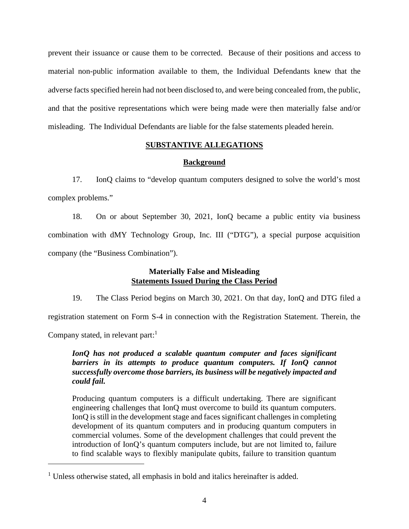prevent their issuance or cause them to be corrected. Because of their positions and access to material non-public information available to them, the Individual Defendants knew that the adverse factsspecified herein had not been disclosed to, and were being concealed from, the public, and that the positive representations which were being made were then materially false and/or misleading. The Individual Defendants are liable for the false statements pleaded herein.

## **SUBSTANTIVE ALLEGATIONS**

### **Background**

17. IonQ claims to "develop quantum computers designed to solve the world's most complex problems."

18. On or about September 30, 2021, IonQ became a public entity via business combination with dMY Technology Group, Inc. III ("DTG"), a special purpose acquisition company (the "Business Combination").

## **Materially False and Misleading Statements Issued During the Class Period**

19. The Class Period begins on March 30, 2021. On that day, IonQ and DTG filed a registration statement on Form S-4 in connection with the Registration Statement. Therein, the

Company stated, in relevant part: $<sup>1</sup>$ </sup>

*IonQ has not produced a scalable quantum computer and faces significant barriers in its attempts to produce quantum computers. If IonQ cannot successfully overcome those barriers, its business will be negatively impacted and could fail.*

Producing quantum computers is a difficult undertaking. There are significant engineering challenges that IonQ must overcome to build its quantum computers. IonQ is still in the development stage and faces significant challenges in completing development of its quantum computers and in producing quantum computers in commercial volumes. Some of the development challenges that could prevent the introduction of IonQ's quantum computers include, but are not limited to, failure to find scalable ways to flexibly manipulate qubits, failure to transition quantum

<sup>&</sup>lt;sup>1</sup> Unless otherwise stated, all emphasis in bold and italics hereinafter is added.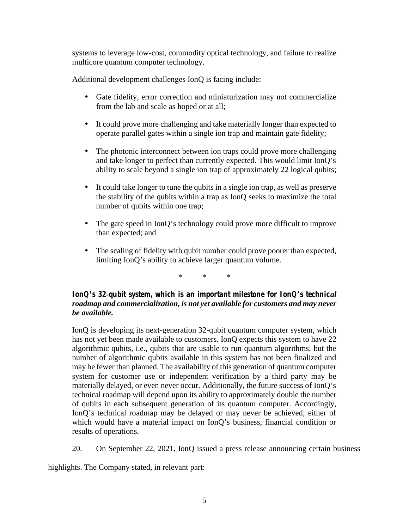systems to leverage low-cost, commodity optical technology, and failure to realize multicore quantum computer technology.

Additional development challenges IonQ is facing include:

- Gate fidelity, error correction and miniaturization may not commercialize from the lab and scale as hoped or at all;
- It could prove more challenging and take materially longer than expected to operate parallel gates within a single ion trap and maintain gate fidelity;
- The photonic interconnect between ion traps could prove more challenging and take longer to perfect than currently expected. This would limit IonQ's ability to scale beyond a single ion trap of approximately 22 logical qubits;
- It could take longer to tune the qubits in a single ion trap, as well as preserve the stability of the qubits within a trap as IonQ seeks to maximize the total number of qubits within one trap;
- The gate speed in IonQ's technology could prove more difficult to improve than expected; and
- The scaling of fidelity with qubit number could prove poorer than expected, limiting IonQ's ability to achieve larger quantum volume.

\* \* \*

# *IonO's 32-qubit system, which is an important milestone for IonQ's technical roadmap and commercialization, is not yet available for customers and may never be available.*

IonQ is developing its next-generation 32-qubit quantum computer system, which has not yet been made available to customers. IonQ expects this system to have 22 algorithmic qubits, i.e., qubits that are usable to run quantum algorithms, but the number of algorithmic qubits available in this system has not been finalized and may be fewer than planned. The availability of this generation of quantum computer system for customer use or independent verification by a third party may be materially delayed, or even never occur. Additionally, the future success of IonQ's technical roadmap will depend upon its ability to approximately double the number of qubits in each subsequent generation of its quantum computer. Accordingly, IonQ's technical roadmap may be delayed or may never be achieved, either of which would have a material impact on IonQ's business, financial condition or results of operations.

20. On September 22, 2021, IonQ issued a press release announcing certain business

highlights. The Company stated, in relevant part: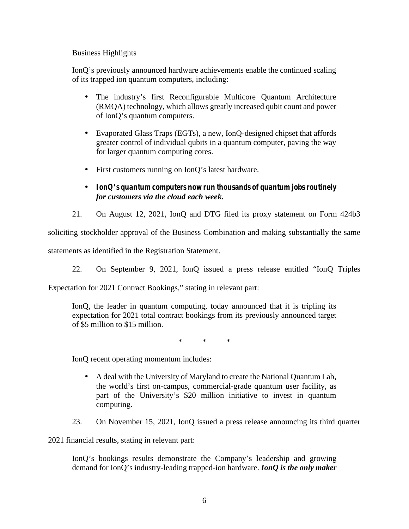## Business Highlights

IonQ's previously announced hardware achievements enable the continued scaling of its trapped ion quantum computers, including:

- The industry's first Reconfigurable Multicore Quantum Architecture (RMQA) technology, which allows greatly increased qubit count and power of IonQ's quantum computers.
- Evaporated Glass Traps (EGTs), a new, IonQ-designed chipset that affords greater control of individual qubits in a quantum computer, paving the way for larger quantum computing cores.
- First customers running on IonQ's latest hardware.
- *IonQ's quantum computers now run thousands of quantum jobs routinely for customers via the cloud each week.*
- 21. On August 12, 2021, IonQ and DTG filed its proxy statement on Form 424b3

soliciting stockholder approval of the Business Combination and making substantially the same

statements as identified in the Registration Statement.

22. On September 9, 2021, IonQ issued a press release entitled "IonQ Triples

Expectation for 2021 Contract Bookings," stating in relevant part:

IonQ, the leader in quantum computing, today announced that it is tripling its expectation for 2021 total contract bookings from its previously announced target of \$5 million to \$15 million.

\* \* \*

IonQ recent operating momentum includes:

- A deal with the University of Maryland to create the National Quantum Lab, the world's first on-campus, commercial-grade quantum user facility, as part of the University's \$20 million initiative to invest in quantum computing.
- 23. On November 15, 2021, IonQ issued a press release announcing its third quarter

2021 financial results, stating in relevant part:

IonQ's bookings results demonstrate the Company's leadership and growing demand for IonQ's industry-leading trapped-ion hardware. *IonQ is the only maker*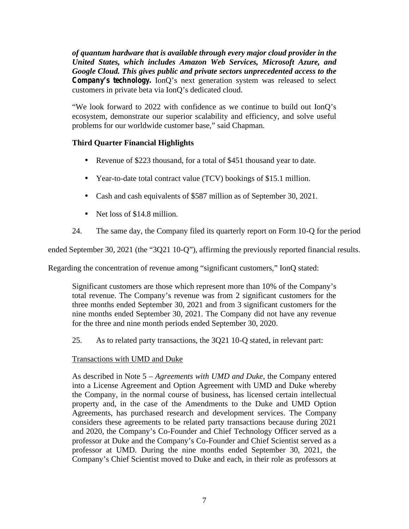*of quantum hardware that is available through every major cloud provider in the United States, which includes Amazon Web Services, Microsoft Azure, and Google Cloud. This gives public and private sectors unprecedented access to the Company's technology.* IonQ's next generation system was released to select customers in private beta via IonQ's dedicated cloud.

"We look forward to 2022 with confidence as we continue to build out IonQ's ecosystem, demonstrate our superior scalability and efficiency, and solve useful problems for our worldwide customer base," said Chapman.

# **Third Quarter Financial Highlights**

- Revenue of \$223 thousand, for a total of \$451 thousand year to date.
- Year-to-date total contract value (TCV) bookings of \$15.1 million.
- Cash and cash equivalents of \$587 million as of September 30, 2021.
- Net loss of \$14.8 million.
- 24. The same day, the Company filed its quarterly report on Form 10-Q for the period

ended September 30, 2021 (the "3Q21 10-Q"), affirming the previously reported financial results.

Regarding the concentration of revenue among "significant customers," IonQ stated:

Significant customers are those which represent more than 10% of the Company's total revenue. The Company's revenue was from 2 significant customers for the three months ended September 30, 2021 and from 3 significant customers for the nine months ended September 30, 2021. The Company did not have any revenue for the three and nine month periods ended September 30, 2020.

25. As to related party transactions, the 3Q21 10-Q stated, in relevant part:

# Transactions with UMD and Duke

As described in Note 5 – *Agreements with UMD and Duke*, the Company entered into a License Agreement and Option Agreement with UMD and Duke whereby the Company, in the normal course of business, has licensed certain intellectual property and, in the case of the Amendments to the Duke and UMD Option Agreements, has purchased research and development services. The Company considers these agreements to be related party transactions because during 2021 and 2020, the Company's Co-Founder and Chief Technology Officer served as a professor at Duke and the Company's Co-Founder and Chief Scientist served as a professor at UMD. During the nine months ended September 30, 2021, the Company's Chief Scientist moved to Duke and each, in their role as professors at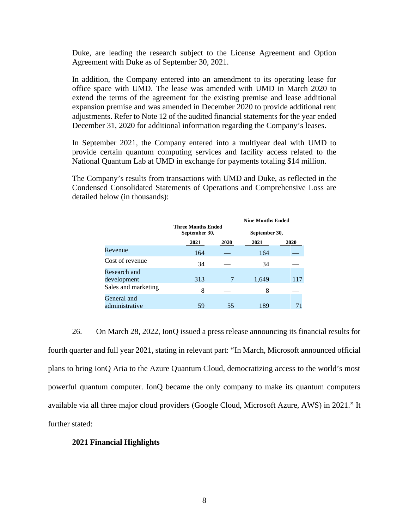Duke, are leading the research subject to the License Agreement and Option Agreement with Duke as of September 30, 2021.

In addition, the Company entered into an amendment to its operating lease for office space with UMD. The lease was amended with UMD in March 2020 to extend the terms of the agreement for the existing premise and lease additional expansion premise and was amended in December 2020 to provide additional rent adjustments. Refer to Note 12 of the audited financial statements for the year ended December 31, 2020 for additional information regarding the Company's leases.

In September 2021, the Company entered into a multiyear deal with UMD to provide certain quantum computing services and facility access related to the National Quantum Lab at UMD in exchange for payments totaling \$14 million.

The Company's results from transactions with UMD and Duke, as reflected in the Condensed Consolidated Statements of Operations and Comprehensive Loss are detailed below (in thousands):

|                               |                                            |      | <b>Nine Months Ended</b> |      |
|-------------------------------|--------------------------------------------|------|--------------------------|------|
|                               | <b>Three Months Ended</b><br>September 30, |      | September 30,            |      |
|                               | 2021                                       | 2020 | 2021                     | 2020 |
| Revenue                       | 164                                        |      | 164                      |      |
| Cost of revenue               | 34                                         |      | 34                       |      |
| Research and<br>development   | 313                                        |      | 1,649                    | 117  |
| Sales and marketing           | 8                                          |      | 8                        |      |
| General and<br>administrative | 59                                         | 55   | 189                      |      |

26. On March 28, 2022, IonQ issued a press release announcing its financial results for fourth quarter and full year 2021, stating in relevant part: "In March, Microsoft announced official plans to bring IonQ Aria to the Azure Quantum Cloud, democratizing access to the world's most powerful quantum computer. IonQ became the only company to make its quantum computers available via all three major cloud providers (Google Cloud, Microsoft Azure, AWS) in 2021." It further stated:

#### **2021 Financial Highlights**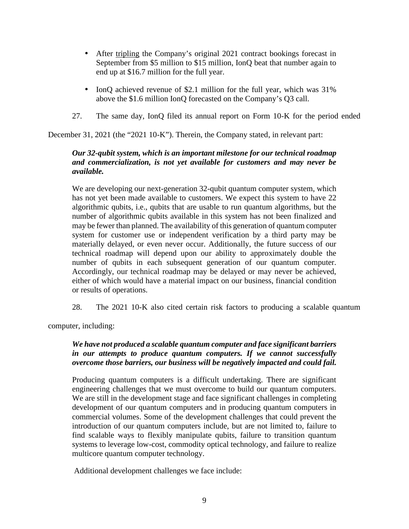- After tripling the Company's original 2021 contract bookings forecast in September from \$5 million to \$15 million, IonQ beat that number again to end up at \$16.7 million for the full year.
- IonQ achieved revenue of \$2.1 million for the full year, which was  $31\%$ above the \$1.6 million IonQ forecasted on the Company's Q3 call.
- 27. The same day, IonQ filed its annual report on Form 10-K for the period ended

December 31, 2021 (the "2021 10-K"). Therein, the Company stated, in relevant part:

# *Our 32-qubit system, which is an important milestone for our technical roadmap and commercialization, is not yet available for customers and may never be available.*

We are developing our next-generation 32-qubit quantum computer system, which has not yet been made available to customers. We expect this system to have 22 algorithmic qubits, i.e., qubits that are usable to run quantum algorithms, but the number of algorithmic qubits available in this system has not been finalized and may be fewer than planned. The availability of this generation of quantum computer system for customer use or independent verification by a third party may be materially delayed, or even never occur. Additionally, the future success of our technical roadmap will depend upon our ability to approximately double the number of qubits in each subsequent generation of our quantum computer. Accordingly, our technical roadmap may be delayed or may never be achieved, either of which would have a material impact on our business, financial condition or results of operations.

28. The 2021 10-K also cited certain risk factors to producing a scalable quantum

computer, including:

# *We have not produced a scalable quantum computer and face significant barriers in our attempts to produce quantum computers. If we cannot successfully overcome those barriers, our business will be negatively impacted and could fail.*

Producing quantum computers is a difficult undertaking. There are significant engineering challenges that we must overcome to build our quantum computers. We are still in the development stage and face significant challenges in completing development of our quantum computers and in producing quantum computers in commercial volumes. Some of the development challenges that could prevent the introduction of our quantum computers include, but are not limited to, failure to find scalable ways to flexibly manipulate qubits, failure to transition quantum systems to leverage low-cost, commodity optical technology, and failure to realize multicore quantum computer technology.

Additional development challenges we face include: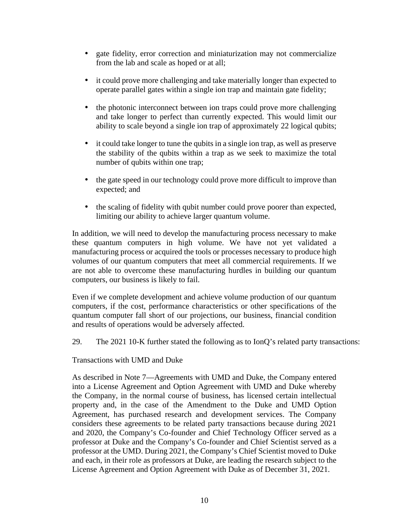- gate fidelity, error correction and miniaturization may not commercialize from the lab and scale as hoped or at all;
- it could prove more challenging and take materially longer than expected to operate parallel gates within a single ion trap and maintain gate fidelity;
- the photonic interconnect between ion traps could prove more challenging and take longer to perfect than currently expected. This would limit our ability to scale beyond a single ion trap of approximately 22 logical qubits;
- it could take longer to tune the qubits in a single ion trap, as well as preserve the stability of the qubits within a trap as we seek to maximize the total number of qubits within one trap;
- the gate speed in our technology could prove more difficult to improve than expected; and
- the scaling of fidelity with qubit number could prove poorer than expected, limiting our ability to achieve larger quantum volume.

In addition, we will need to develop the manufacturing process necessary to make these quantum computers in high volume. We have not yet validated a manufacturing process or acquired the tools or processes necessary to produce high volumes of our quantum computers that meet all commercial requirements. If we are not able to overcome these manufacturing hurdles in building our quantum computers, our business is likely to fail.

Even if we complete development and achieve volume production of our quantum computers, if the cost, performance characteristics or other specifications of the quantum computer fall short of our projections, our business, financial condition and results of operations would be adversely affected.

29. The 2021 10-K further stated the following as to IonQ's related party transactions:

Transactions with UMD and Duke

As described in Note 7—Agreements with UMD and Duke, the Company entered into a License Agreement and Option Agreement with UMD and Duke whereby the Company, in the normal course of business, has licensed certain intellectual property and, in the case of the Amendment to the Duke and UMD Option Agreement, has purchased research and development services. The Company considers these agreements to be related party transactions because during 2021 and 2020, the Company's Co-founder and Chief Technology Officer served as a professor at Duke and the Company's Co-founder and Chief Scientist served as a professor at the UMD. During 2021, the Company's Chief Scientist moved to Duke and each, in their role as professors at Duke, are leading the research subject to the License Agreement and Option Agreement with Duke as of December 31, 2021.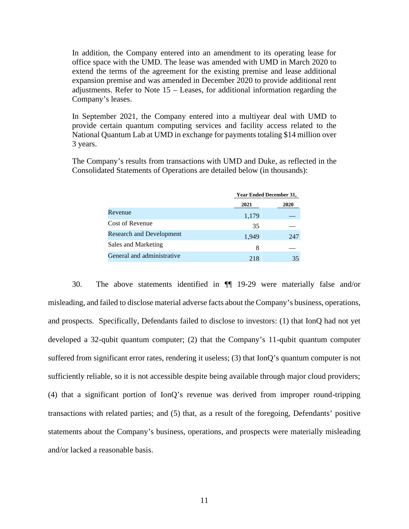In addition, the Company entered into an amendment to its operating lease for office space with the UMD. The lease was amended with UMD in March 2020 to extend the terms of the agreement for the existing premise and lease additional expansion premise and was amended in December 2020 to provide additional rent adjustments. Refer to Note 15 – Leases, for additional information regarding the Company's leases.

In September 2021, the Company entered into a multiyear deal with UMD to provide certain quantum computing services and facility access related to the National Quantum Lab at UMD in exchange for payments totaling \$14 million over 3 years.

The Company's results from transactions with UMD and Duke, as reflected in the Consolidated Statements of Operations are detailed below (in thousands):

|                                 | <b>Year Ended December 31,</b> |      |  |
|---------------------------------|--------------------------------|------|--|
|                                 | 2021                           | 2020 |  |
| Revenue                         | 1,179                          |      |  |
| Cost of Revenue                 | 35                             |      |  |
| <b>Research and Development</b> | 1,949                          | 247  |  |
| Sales and Marketing             | 8                              |      |  |
| General and administrative      | 218                            | 35   |  |

30. The above statements identified in ¶¶ 19-29 were materially false and/or misleading, and failed to disclose material adverse facts about the Company's business, operations, and prospects. Specifically, Defendants failed to disclose to investors: (1) that IonQ had not yet developed a 32-qubit quantum computer; (2) that the Company's 11-qubit quantum computer suffered from significant error rates, rendering it useless; (3) that IonQ's quantum computer is not sufficiently reliable, so it is not accessible despite being available through major cloud providers; (4) that a significant portion of IonQ's revenue was derived from improper round-tripping transactions with related parties; and (5) that, as a result of the foregoing, Defendants' positive statements about the Company's business, operations, and prospects were materially misleading and/or lacked a reasonable basis.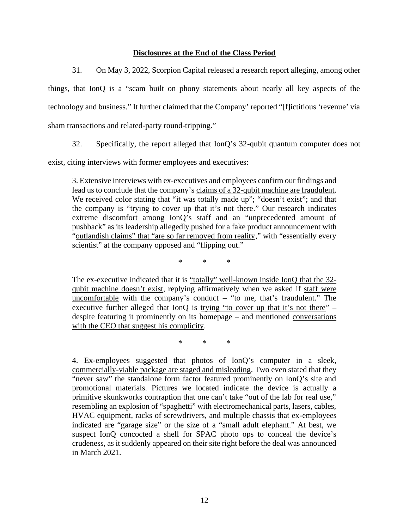## **Disclosures at the End of the Class Period**

31. On May 3, 2022, Scorpion Capital released a research report alleging, among other

things, that IonQ is a "scam built on phony statements about nearly all key aspects of the technology and business." It further claimed that the Company' reported "[f]ictitious 'revenue' via sham transactions and related-party round-tripping."

32. Specifically, the report alleged that IonQ's 32-qubit quantum computer does not

exist, citing interviews with former employees and executives:

3. Extensive interviews with ex-executives and employees confirm our findings and lead us to conclude that the company's claims of a 32-qubit machine are fraudulent. We received color stating that "it was totally made up"; "doesn't exist"; and that the company is "trying to cover up that it's not there." Our research indicates extreme discomfort among IonQ's staff and an "unprecedented amount of pushback" as its leadership allegedly pushed for a fake product announcement with "outlandish claims" that "are so far removed from reality," with "essentially every scientist" at the company opposed and "flipping out."

\* \* \*

The ex-executive indicated that it is "totally" well-known inside IonQ that the 32 qubit machine doesn't exist, replying affirmatively when we asked if staff were uncomfortable with the company's conduct – "to me, that's fraudulent." The executive further alleged that IonQ is trying "to cover up that it's not there"  $$ despite featuring it prominently on its homepage – and mentioned conversations with the CEO that suggest his complicity.

\* \* \*

4. Ex-employees suggested that photos of IonQ's computer in a sleek, commercially-viable package are staged and misleading. Two even stated that they "never saw" the standalone form factor featured prominently on IonQ's site and promotional materials. Pictures we located indicate the device is actually a primitive skunkworks contraption that one can't take "out of the lab for real use," resembling an explosion of "spaghetti" with electromechanical parts, lasers, cables, HVAC equipment, racks of screwdrivers, and multiple chassis that ex-employees indicated are "garage size" or the size of a "small adult elephant." At best, we suspect IonQ concocted a shell for SPAC photo ops to conceal the device's crudeness, as it suddenly appeared on their site right before the deal was announced in March 2021.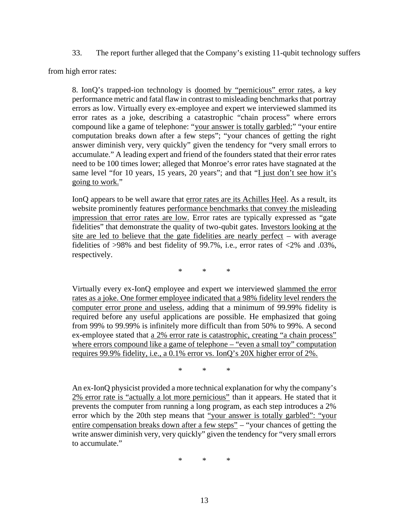33. The report further alleged that the Company's existing 11-qubit technology suffers

from high error rates:

8. IonQ's trapped-ion technology is doomed by "pernicious" error rates, a key performance metric and fatal flaw in contrast to misleading benchmarks that portray errors as low. Virtually every ex-employee and expert we interviewed slammed its error rates as a joke, describing a catastrophic "chain process" where errors compound like a game of telephone: "your answer is totally garbled;" "your entire computation breaks down after a few steps"; "your chances of getting the right answer diminish very, very quickly" given the tendency for "very small errors to accumulate." A leading expert and friend of the founders stated that their error rates need to be 100 times lower; alleged that Monroe's error rates have stagnated at the same level "for 10 years, 15 years, 20 years"; and that "I just don't see how it's going to work."

IonQ appears to be well aware that error rates are its Achilles Heel. As a result, its website prominently features performance benchmarks that convey the misleading impression that error rates are low. Error rates are typically expressed as "gate fidelities" that demonstrate the quality of two-qubit gates. Investors looking at the site are led to believe that the gate fidelities are nearly perfect – with average fidelities of >98% and best fidelity of 99.7%, i.e., error rates of <2% and .03%, respectively.

\* \* \*

Virtually every ex-IonQ employee and expert we interviewed slammed the error rates as a joke. One former employee indicated that a 98% fidelity level renders the computer error prone and useless, adding that a minimum of 99.99% fidelity is required before any useful applications are possible. He emphasized that going from 99% to 99.99% is infinitely more difficult than from 50% to 99%. A second ex-employee stated that a 2% error rate is catastrophic, creating "a chain process" where errors compound like a game of telephone – "even a small toy" computation requires 99.9% fidelity, i.e., a 0.1% error vs. IonQ's 20X higher error of 2%.

\* \* \*

An ex-IonQ physicist provided a more technical explanation for why the company's 2% error rate is "actually a lot more pernicious" than it appears. He stated that it prevents the computer from running a long program, as each step introduces a 2% error which by the 20th step means that "your answer is totally garbled": "your entire compensation breaks down after a few steps" – "your chances of getting the write answer diminish very, very quickly" given the tendency for "very small errors to accumulate."

\* \* \*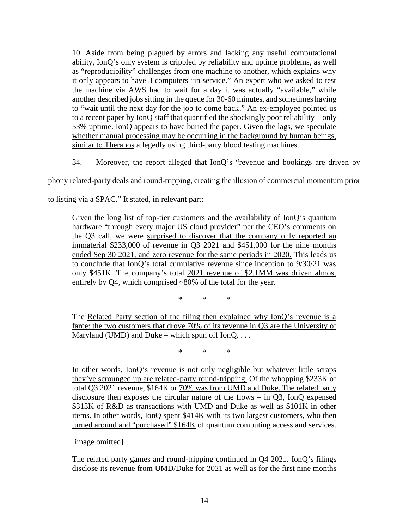10. Aside from being plagued by errors and lacking any useful computational ability, IonQ's only system is crippled by reliability and uptime problems, as well as "reproducibility" challenges from one machine to another, which explains why it only appears to have 3 computers "in service." An expert who we asked to test the machine via AWS had to wait for a day it was actually "available," while another described jobs sitting in the queue for 30-60 minutes, and sometimes having to "wait until the next day for the job to come back." An ex-employee pointed us to a recent paper by IonQ staff that quantified the shockingly poor reliability – only 53% uptime. IonQ appears to have buried the paper. Given the lags, we speculate whether manual processing may be occurring in the background by human beings, similar to Theranos allegedly using third-party blood testing machines.

34. Moreover, the report alleged that IonQ's "revenue and bookings are driven by

phony related-party deals and round-tripping, creating the illusion of commercial momentum prior

to listing via a SPAC." It stated, in relevant part:

Given the long list of top-tier customers and the availability of IonQ's quantum hardware "through every major US cloud provider" per the CEO's comments on the Q3 call, we were surprised to discover that the company only reported an immaterial \$233,000 of revenue in Q3 2021 and \$451,000 for the nine months ended Sep 30 2021, and zero revenue for the same periods in 2020. This leads us to conclude that IonQ's total cumulative revenue since inception to 9/30/21 was only \$451K. The company's total 2021 revenue of \$2.1MM was driven almost entirely by Q4, which comprised ~80% of the total for the year.

\* \* \*

The Related Party section of the filing then explained why IonQ's revenue is a farce: the two customers that drove 70% of its revenue in Q3 are the University of Maryland (UMD) and Duke – which spun off  $IonQ...$ 

\* \* \*

In other words, IonQ's revenue is not only negligible but whatever little scraps they've scrounged up are related-party round-tripping. Of the whopping \$233K of total Q3 2021 revenue, \$164K or 70% was from UMD and Duke. The related party disclosure then exposes the circular nature of the flows – in Q3, IonQ expensed \$313K of R&D as transactions with UMD and Duke as well as \$101K in other items. In other words, IonQ spent \$414K with its two largest customers, who then turned around and "purchased" \$164K of quantum computing access and services.

## [image omitted]

The related party games and round-tripping continued in Q4 2021. IonQ's filings disclose its revenue from UMD/Duke for 2021 as well as for the first nine months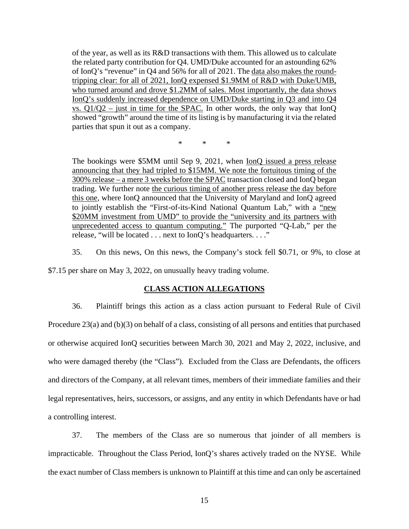of the year, as well as its R&D transactions with them. This allowed us to calculate the related party contribution for Q4. UMD/Duke accounted for an astounding 62% of IonQ's "revenue" in Q4 and 56% for all of 2021. The data also makes the roundtripping clear: for all of 2021, IonQ expensed \$1.9MM of R&D with Duke/UMB, who turned around and drove \$1.2MM of sales. Most importantly, the data shows IonQ's suddenly increased dependence on UMD/Duke starting in Q3 and into Q4 vs. Q1/Q2 – just in time for the SPAC. In other words, the only way that IonQ showed "growth" around the time of its listing is by manufacturing it via the related parties that spun it out as a company.

\* \* \*

The bookings were \$5MM until Sep 9, 2021, when IonQ issued a press release announcing that they had tripled to \$15MM. We note the fortuitous timing of the 300% release – a mere 3 weeks before the SPAC transaction closed and IonQ began trading. We further note the curious timing of another press release the day before this one, where IonQ announced that the University of Maryland and IonQ agreed to jointly establish the "First-of-its-Kind National Quantum Lab," with a "new \$20MM investment from UMD" to provide the "university and its partners with unprecedented access to quantum computing." The purported "Q-Lab," per the release, "will be located . . . next to IonQ's headquarters. . . ."

35. On this news, On this news, the Company's stock fell \$0.71, or 9%, to close at

\$7.15 per share on May 3, 2022, on unusually heavy trading volume.

#### **CLASS ACTION ALLEGATIONS**

36. Plaintiff brings this action as a class action pursuant to Federal Rule of Civil Procedure 23(a) and (b)(3) on behalf of a class, consisting of all persons and entities that purchased or otherwise acquired IonQ securities between March 30, 2021 and May 2, 2022, inclusive, and who were damaged thereby (the "Class"). Excluded from the Class are Defendants, the officers and directors of the Company, at all relevant times, members of their immediate families and their legal representatives, heirs, successors, or assigns, and any entity in which Defendants have or had a controlling interest.

37. The members of the Class are so numerous that joinder of all members is impracticable. Throughout the Class Period, IonQ's shares actively traded on the NYSE. While the exact number of Class members is unknown to Plaintiff at this time and can only be ascertained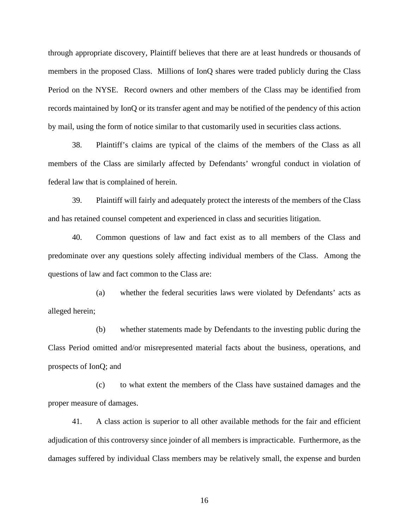through appropriate discovery, Plaintiff believes that there are at least hundreds or thousands of members in the proposed Class. Millions of IonQ shares were traded publicly during the Class Period on the NYSE. Record owners and other members of the Class may be identified from records maintained by IonQ or its transfer agent and may be notified of the pendency of this action by mail, using the form of notice similar to that customarily used in securities class actions.

38. Plaintiff's claims are typical of the claims of the members of the Class as all members of the Class are similarly affected by Defendants' wrongful conduct in violation of federal law that is complained of herein.

39. Plaintiff will fairly and adequately protect the interests of the members of the Class and has retained counsel competent and experienced in class and securities litigation.

40. Common questions of law and fact exist as to all members of the Class and predominate over any questions solely affecting individual members of the Class. Among the questions of law and fact common to the Class are:

(a) whether the federal securities laws were violated by Defendants' acts as alleged herein;

(b) whether statements made by Defendants to the investing public during the Class Period omitted and/or misrepresented material facts about the business, operations, and prospects of IonQ; and

(c) to what extent the members of the Class have sustained damages and the proper measure of damages.

41. A class action is superior to all other available methods for the fair and efficient adjudication of this controversy since joinder of all members is impracticable. Furthermore, as the damages suffered by individual Class members may be relatively small, the expense and burden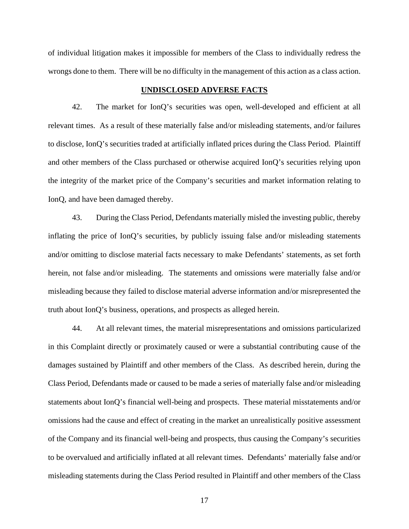of individual litigation makes it impossible for members of the Class to individually redress the wrongs done to them. There will be no difficulty in the management of this action as a class action.

### **UNDISCLOSED ADVERSE FACTS**

42. The market for IonQ's securities was open, well-developed and efficient at all relevant times. As a result of these materially false and/or misleading statements, and/or failures to disclose, IonQ's securities traded at artificially inflated prices during the Class Period. Plaintiff and other members of the Class purchased or otherwise acquired IonQ's securities relying upon the integrity of the market price of the Company's securities and market information relating to IonQ, and have been damaged thereby.

43. During the Class Period, Defendants materially misled the investing public, thereby inflating the price of IonQ's securities, by publicly issuing false and/or misleading statements and/or omitting to disclose material facts necessary to make Defendants' statements, as set forth herein, not false and/or misleading. The statements and omissions were materially false and/or misleading because they failed to disclose material adverse information and/or misrepresented the truth about IonQ's business, operations, and prospects as alleged herein.

44. At all relevant times, the material misrepresentations and omissions particularized in this Complaint directly or proximately caused or were a substantial contributing cause of the damages sustained by Plaintiff and other members of the Class. As described herein, during the Class Period, Defendants made or caused to be made a series of materially false and/or misleading statements about IonQ's financial well-being and prospects. These material misstatements and/or omissions had the cause and effect of creating in the market an unrealistically positive assessment of the Company and its financial well-being and prospects, thus causing the Company's securities to be overvalued and artificially inflated at all relevant times. Defendants' materially false and/or misleading statements during the Class Period resulted in Plaintiff and other members of the Class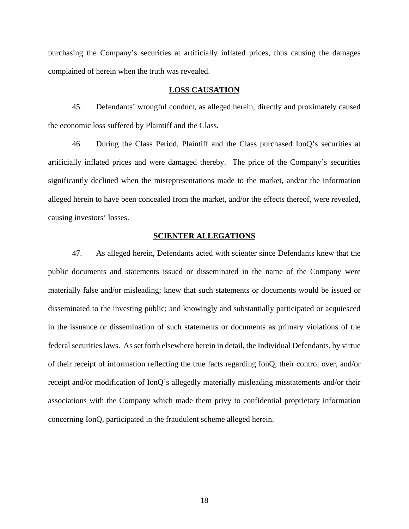purchasing the Company's securities at artificially inflated prices, thus causing the damages complained of herein when the truth was revealed.

### **LOSS CAUSATION**

45. Defendants' wrongful conduct, as alleged herein, directly and proximately caused the economic loss suffered by Plaintiff and the Class.

46. During the Class Period, Plaintiff and the Class purchased IonQ's securities at artificially inflated prices and were damaged thereby. The price of the Company's securities significantly declined when the misrepresentations made to the market, and/or the information alleged herein to have been concealed from the market, and/or the effects thereof, were revealed, causing investors' losses.

### **SCIENTER ALLEGATIONS**

47. As alleged herein, Defendants acted with scienter since Defendants knew that the public documents and statements issued or disseminated in the name of the Company were materially false and/or misleading; knew that such statements or documents would be issued or disseminated to the investing public; and knowingly and substantially participated or acquiesced in the issuance or dissemination of such statements or documents as primary violations of the federal securities laws. As set forth elsewhere herein in detail, the Individual Defendants, by virtue of their receipt of information reflecting the true facts regarding IonQ, their control over, and/or receipt and/or modification of IonQ's allegedly materially misleading misstatements and/or their associations with the Company which made them privy to confidential proprietary information concerning IonQ, participated in the fraudulent scheme alleged herein.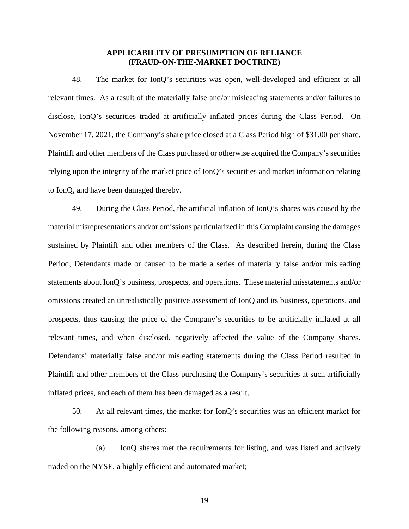### **APPLICABILITY OF PRESUMPTION OF RELIANCE (FRAUD-ON-THE-MARKET DOCTRINE)**

48. The market for IonQ's securities was open, well-developed and efficient at all relevant times. As a result of the materially false and/or misleading statements and/or failures to disclose, IonQ's securities traded at artificially inflated prices during the Class Period. On November 17, 2021, the Company's share price closed at a Class Period high of \$31.00 per share. Plaintiff and other members of the Class purchased or otherwise acquired the Company's securities relying upon the integrity of the market price of IonQ's securities and market information relating to IonQ, and have been damaged thereby.

49. During the Class Period, the artificial inflation of IonQ's shares was caused by the material misrepresentations and/or omissions particularized in this Complaint causing the damages sustained by Plaintiff and other members of the Class. As described herein, during the Class Period, Defendants made or caused to be made a series of materially false and/or misleading statements about IonQ's business, prospects, and operations. These material misstatements and/or omissions created an unrealistically positive assessment of IonQ and its business, operations, and prospects, thus causing the price of the Company's securities to be artificially inflated at all relevant times, and when disclosed, negatively affected the value of the Company shares. Defendants' materially false and/or misleading statements during the Class Period resulted in Plaintiff and other members of the Class purchasing the Company's securities at such artificially inflated prices, and each of them has been damaged as a result.

50. At all relevant times, the market for IonQ's securities was an efficient market for the following reasons, among others:

(a) IonQ shares met the requirements for listing, and was listed and actively traded on the NYSE, a highly efficient and automated market;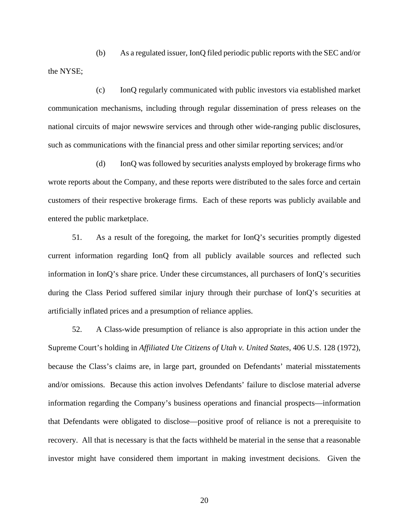(b) As a regulated issuer, IonQ filed periodic public reports with the SEC and/or the NYSE;

(c) IonQ regularly communicated with public investors via established market communication mechanisms, including through regular dissemination of press releases on the national circuits of major newswire services and through other wide-ranging public disclosures, such as communications with the financial press and other similar reporting services; and/or

(d) IonQ was followed by securities analysts employed by brokerage firms who wrote reports about the Company, and these reports were distributed to the sales force and certain customers of their respective brokerage firms. Each of these reports was publicly available and entered the public marketplace.

51. As a result of the foregoing, the market for IonQ's securities promptly digested current information regarding IonQ from all publicly available sources and reflected such information in IonQ's share price. Under these circumstances, all purchasers of IonQ's securities during the Class Period suffered similar injury through their purchase of IonQ's securities at artificially inflated prices and a presumption of reliance applies.

52. A Class-wide presumption of reliance is also appropriate in this action under the Supreme Court's holding in *Affiliated Ute Citizens of Utah v. United States*, 406 U.S. 128 (1972), because the Class's claims are, in large part, grounded on Defendants' material misstatements and/or omissions. Because this action involves Defendants' failure to disclose material adverse information regarding the Company's business operations and financial prospects—information that Defendants were obligated to disclose—positive proof of reliance is not a prerequisite to recovery. All that is necessary is that the facts withheld be material in the sense that a reasonable investor might have considered them important in making investment decisions. Given the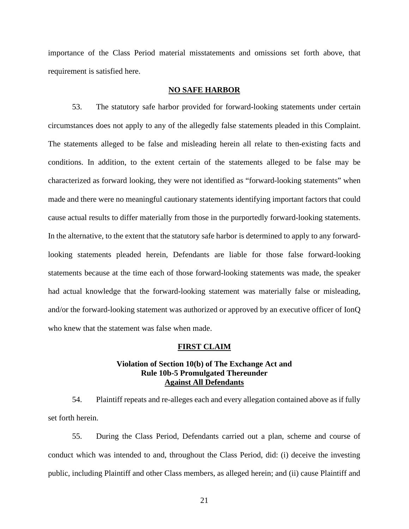importance of the Class Period material misstatements and omissions set forth above, that requirement is satisfied here.

#### **NO SAFE HARBOR**

53. The statutory safe harbor provided for forward-looking statements under certain circumstances does not apply to any of the allegedly false statements pleaded in this Complaint. The statements alleged to be false and misleading herein all relate to then-existing facts and conditions. In addition, to the extent certain of the statements alleged to be false may be characterized as forward looking, they were not identified as "forward-looking statements" when made and there were no meaningful cautionary statements identifying important factors that could cause actual results to differ materially from those in the purportedly forward-looking statements. In the alternative, to the extent that the statutory safe harbor is determined to apply to any forwardlooking statements pleaded herein, Defendants are liable for those false forward-looking statements because at the time each of those forward-looking statements was made, the speaker had actual knowledge that the forward-looking statement was materially false or misleading, and/or the forward-looking statement was authorized or approved by an executive officer of IonQ who knew that the statement was false when made.

### **FIRST CLAIM**

### **Violation of Section 10(b) of The Exchange Act and Rule 10b-5 Promulgated Thereunder Against All Defendants**

54. Plaintiff repeats and re-alleges each and every allegation contained above as if fully set forth herein.

55. During the Class Period, Defendants carried out a plan, scheme and course of conduct which was intended to and, throughout the Class Period, did: (i) deceive the investing public, including Plaintiff and other Class members, as alleged herein; and (ii) cause Plaintiff and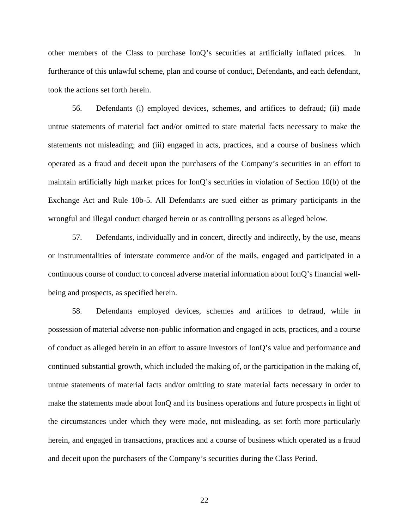other members of the Class to purchase IonQ's securities at artificially inflated prices. In furtherance of this unlawful scheme, plan and course of conduct, Defendants, and each defendant, took the actions set forth herein.

56. Defendants (i) employed devices, schemes, and artifices to defraud; (ii) made untrue statements of material fact and/or omitted to state material facts necessary to make the statements not misleading; and (iii) engaged in acts, practices, and a course of business which operated as a fraud and deceit upon the purchasers of the Company's securities in an effort to maintain artificially high market prices for IonQ's securities in violation of Section 10(b) of the Exchange Act and Rule 10b-5. All Defendants are sued either as primary participants in the wrongful and illegal conduct charged herein or as controlling persons as alleged below.

57. Defendants, individually and in concert, directly and indirectly, by the use, means or instrumentalities of interstate commerce and/or of the mails, engaged and participated in a continuous course of conduct to conceal adverse material information about IonQ's financial well being and prospects, as specified herein.

58. Defendants employed devices, schemes and artifices to defraud, while in possession of material adverse non-public information and engaged in acts, practices, and a course of conduct as alleged herein in an effort to assure investors of IonQ's value and performance and continued substantial growth, which included the making of, or the participation in the making of, untrue statements of material facts and/or omitting to state material facts necessary in order to make the statements made about IonQ and its business operations and future prospects in light of the circumstances under which they were made, not misleading, as set forth more particularly herein, and engaged in transactions, practices and a course of business which operated as a fraud and deceit upon the purchasers of the Company's securities during the Class Period.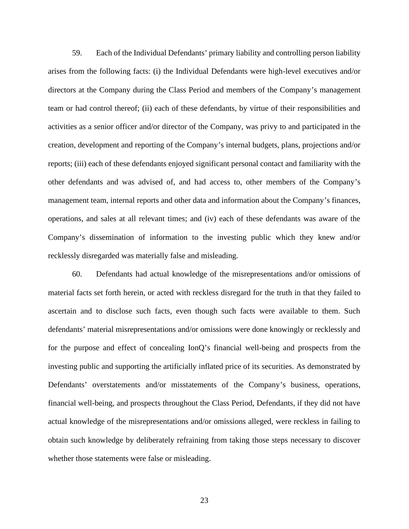59. Each of the Individual Defendants' primary liability and controlling person liability arises from the following facts: (i) the Individual Defendants were high-level executives and/or directors at the Company during the Class Period and members of the Company's management team or had control thereof; (ii) each of these defendants, by virtue of their responsibilities and activities as a senior officer and/or director of the Company, was privy to and participated in the creation, development and reporting of the Company's internal budgets, plans, projections and/or reports; (iii) each of these defendants enjoyed significant personal contact and familiarity with the other defendants and was advised of, and had access to, other members of the Company's management team, internal reports and other data and information about the Company's finances, operations, and sales at all relevant times; and (iv) each of these defendants was aware of the Company's dissemination of information to the investing public which they knew and/or recklessly disregarded was materially false and misleading.

60. Defendants had actual knowledge of the misrepresentations and/or omissions of material facts set forth herein, or acted with reckless disregard for the truth in that they failed to ascertain and to disclose such facts, even though such facts were available to them. Such defendants' material misrepresentations and/or omissions were done knowingly or recklessly and for the purpose and effect of concealing IonQ's financial well-being and prospects from the investing public and supporting the artificially inflated price of its securities. As demonstrated by Defendants' overstatements and/or misstatements of the Company's business, operations, financial well-being, and prospects throughout the Class Period, Defendants, if they did not have actual knowledge of the misrepresentations and/or omissions alleged, were reckless in failing to obtain such knowledge by deliberately refraining from taking those steps necessary to discover whether those statements were false or misleading.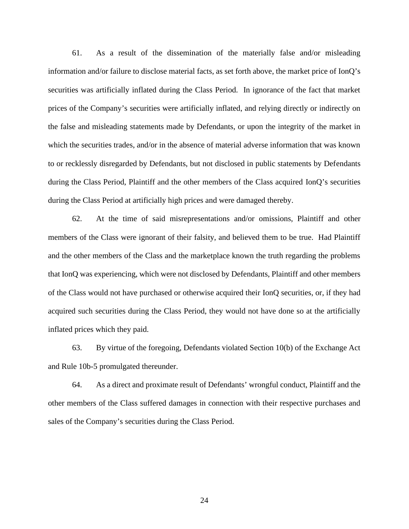61. As a result of the dissemination of the materially false and/or misleading information and/or failure to disclose material facts, as set forth above, the market price of IonQ's securities was artificially inflated during the Class Period. In ignorance of the fact that market prices of the Company's securities were artificially inflated, and relying directly or indirectly on the false and misleading statements made by Defendants, or upon the integrity of the market in which the securities trades, and/or in the absence of material adverse information that was known to or recklessly disregarded by Defendants, but not disclosed in public statements by Defendants during the Class Period, Plaintiff and the other members of the Class acquired IonQ's securities during the Class Period at artificially high prices and were damaged thereby.

62. At the time of said misrepresentations and/or omissions, Plaintiff and other members of the Class were ignorant of their falsity, and believed them to be true. Had Plaintiff and the other members of the Class and the marketplace known the truth regarding the problems that IonQ was experiencing, which were not disclosed by Defendants, Plaintiff and other members of the Class would not have purchased or otherwise acquired their IonQ securities, or, if they had acquired such securities during the Class Period, they would not have done so at the artificially inflated prices which they paid.

63. By virtue of the foregoing, Defendants violated Section 10(b) of the Exchange Act and Rule 10b-5 promulgated thereunder.

64. As a direct and proximate result of Defendants' wrongful conduct, Plaintiff and the other members of the Class suffered damages in connection with their respective purchases and sales of the Company's securities during the Class Period.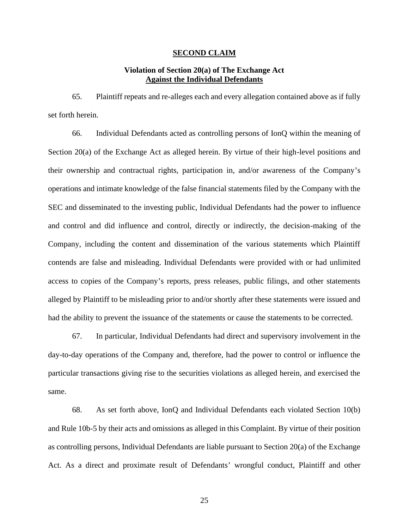#### **SECOND CLAIM**

# **Violation of Section 20(a) of The Exchange Act Against the Individual Defendants**

65. Plaintiff repeats and re-alleges each and every allegation contained above as if fully set forth herein.

66. Individual Defendants acted as controlling persons of IonQ within the meaning of Section 20(a) of the Exchange Act as alleged herein. By virtue of their high-level positions and their ownership and contractual rights, participation in, and/or awareness of the Company's operations and intimate knowledge of the false financial statements filed by the Company with the SEC and disseminated to the investing public, Individual Defendants had the power to influence and control and did influence and control, directly or indirectly, the decision-making of the Company, including the content and dissemination of the various statements which Plaintiff contends are false and misleading. Individual Defendants were provided with or had unlimited access to copies of the Company's reports, press releases, public filings, and other statements alleged by Plaintiff to be misleading prior to and/or shortly after these statements were issued and had the ability to prevent the issuance of the statements or cause the statements to be corrected.

67. In particular, Individual Defendants had direct and supervisory involvement in the day-to-day operations of the Company and, therefore, had the power to control or influence the particular transactions giving rise to the securities violations as alleged herein, and exercised the same.

68. As set forth above, IonQ and Individual Defendants each violated Section 10(b) and Rule 10b-5 by their acts and omissions as alleged in this Complaint. By virtue of their position as controlling persons, Individual Defendants are liable pursuant to Section 20(a) of the Exchange Act. As a direct and proximate result of Defendants' wrongful conduct, Plaintiff and other